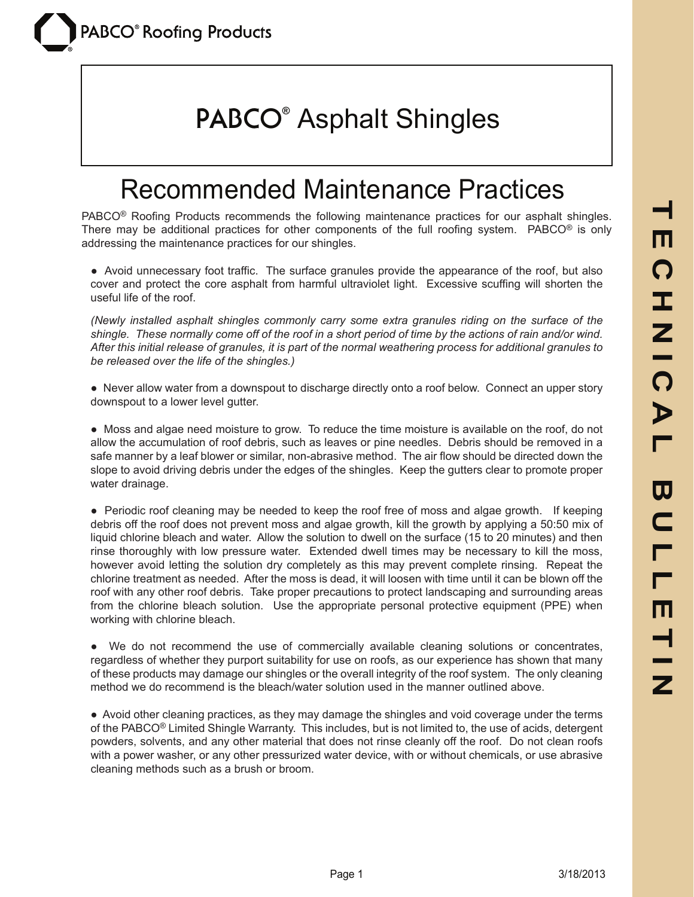# **PABCO®** Asphalt Shingles

#### Recommended Maintenance Practices

PABCO® Roofing Products recommends the following maintenance practices for our asphalt shingles. There may be additional practices for other components of the full roofing system. PABCO® is only addressing the maintenance practices for our shingles.

• Avoid unnecessary foot traffic. The surface granules provide the appearance of the roof, but also cover and protect the core asphalt from harmful ultraviolet light. Excessive scuffing will shorten the useful life of the roof.

*(Newly installed asphalt shingles commonly carry some extra granules riding on the surface of the shingle. These normally come off of the roof in a short period of time by the actions of rain and/or wind. After this initial release of granules, it is part of the normal weathering process for additional granules to be released over the life of the shingles.)*

• Never allow water from a downspout to discharge directly onto a roof below. Connect an upper story downspout to a lower level gutter.

• Moss and algae need moisture to grow. To reduce the time moisture is available on the roof, do not allow the accumulation of roof debris, such as leaves or pine needles. Debris should be removed in a safe manner by a leaf blower or similar, non-abrasive method. The air flow should be directed down the slope to avoid driving debris under the edges of the shingles. Keep the gutters clear to promote proper water drainage.

● Periodic roof cleaning may be needed to keep the roof free of moss and algae growth. If keeping debris off the roof does not prevent moss and algae growth, kill the growth by applying a 50:50 mix of liquid chlorine bleach and water. Allow the solution to dwell on the surface (15 to 20 minutes) and then rinse thoroughly with low pressure water. Extended dwell times may be necessary to kill the moss, however avoid letting the solution dry completely as this may prevent complete rinsing. Repeat the chlorine treatment as needed. After the moss is dead, it will loosen with time until it can be blown off the roof with any other roof debris. Take proper precautions to protect landscaping and surrounding areas from the chlorine bleach solution. Use the appropriate personal protective equipment (PPE) when working with chlorine bleach.

● We do not recommend the use of commercially available cleaning solutions or concentrates, regardless of whether they purport suitability for use on roofs, as our experience has shown that many of these products may damage our shingles or the overall integrity of the roof system. The only cleaning method we do recommend is the bleach/water solution used in the manner outlined above.

● Avoid other cleaning practices, as they may damage the shingles and void coverage under the terms of the PABCO® Limited Shingle Warranty. This includes, but is not limited to, the use of acids, detergent powders, solvents, and any other material that does not rinse cleanly off the roof. Do not clean roofs with a power washer, or any other pressurized water device, with or without chemicals, or use abrasive cleaning methods such as a brush or broom.